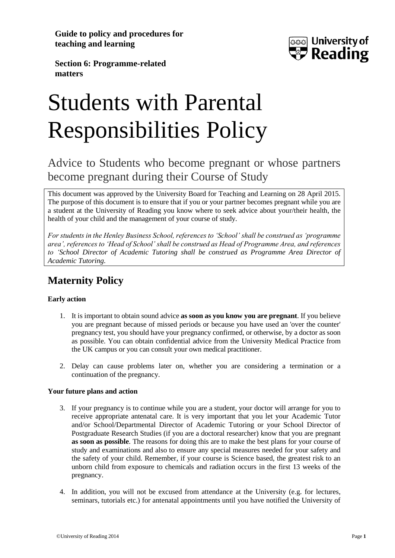**Guide to policy and procedures for teaching and learning**



**Section 6: Programme-related matters**

# Students with Parental Responsibilities Policy

## Advice to Students who become pregnant or whose partners become pregnant during their Course of Study

This document was approved by the University Board for Teaching and Learning on 28 April 2015. The purpose of this document is to ensure that if you or your partner becomes pregnant while you are a student at the University of Reading you know where to seek advice about your/their health, the health of your child and the management of your course of study.

*For students in the Henley Business School, references to 'School' shall be construed as 'programme area', references to 'Head of School' shall be construed as Head of Programme Area, and references to 'School Director of Academic Tutoring shall be construed as Programme Area Director of Academic Tutoring.*

## **Maternity Policy**

#### **Early action**

- 1. It is important to obtain sound advice **as soon as you know you are pregnant**. If you believe you are pregnant because of missed periods or because you have used an 'over the counter' pregnancy test, you should have your pregnancy confirmed, or otherwise, by a doctor as soon as possible. You can obtain confidential advice from the University Medical Practice from the UK campus or you can consult your own medical practitioner.
- 2. Delay can cause problems later on, whether you are considering a termination or a continuation of the pregnancy.

#### **Your future plans and action**

- 3. If your pregnancy is to continue while you are a student, your doctor will arrange for you to receive appropriate antenatal care. It is very important that you let your Academic Tutor and/or School/Departmental Director of Academic Tutoring or your School Director of Postgraduate Research Studies (if you are a doctoral researcher) know that you are pregnant **as soon as possible**. The reasons for doing this are to make the best plans for your course of study and examinations and also to ensure any special measures needed for your safety and the safety of your child. Remember, if your course is Science based, the greatest risk to an unborn child from exposure to chemicals and radiation occurs in the first 13 weeks of the pregnancy.
- 4. In addition, you will not be excused from attendance at the University (e.g. for lectures, seminars, tutorials etc.) for antenatal appointments until you have notified the University of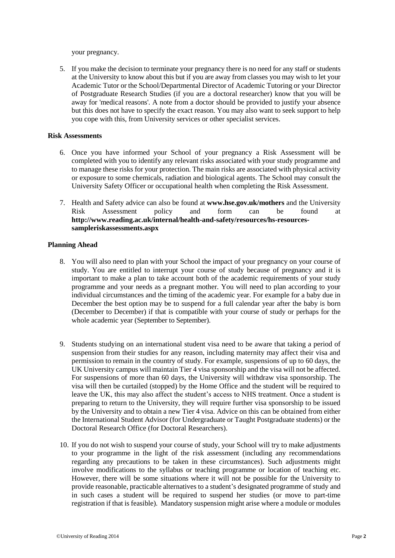your pregnancy.

5. If you make the decision to terminate your pregnancy there is no need for any staff or students at the University to know about this but if you are away from classes you may wish to let your Academic Tutor or the School/Departmental Director of Academic Tutoring or your Director of Postgraduate Research Studies (if you are a doctoral researcher) know that you will be away for 'medical reasons'. A note from a doctor should be provided to justify your absence but this does not have to specify the exact reason. You may also want to seek support to help you cope with this, from University services or other specialist services.

#### **Risk Assessments**

- 6. Once you have informed your School of your pregnancy a Risk Assessment will be completed with you to identify any relevant risks associated with your study programme and to manage these risks for your protection. The main risks are associated with physical activity or exposure to some chemicals, radiation and biological agents. The School may consult the University Safety Officer or occupational health when completing the Risk Assessment.
- 7. Health and Safety advice can also be found at **[www.hse.gov.uk/mothers](http://www.hse.gov.uk/mothers)** and the University Risk Assessment policy and form can be found at **http://www.reading.ac.uk/internal/health-and-safety/resources/hs-resourcessampleriskassessments.aspx**

#### **Planning Ahead**

- 8. You will also need to plan with your School the impact of your pregnancy on your course of study. You are entitled to interrupt your course of study because of pregnancy and it is important to make a plan to take account both of the academic requirements of your study programme and your needs as a pregnant mother. You will need to plan according to your individual circumstances and the timing of the academic year. For example for a baby due in December the best option may be to suspend for a full calendar year after the baby is born (December to December) if that is compatible with your course of study or perhaps for the whole academic year (September to September).
- 9. Students studying on an international student visa need to be aware that taking a period of suspension from their studies for any reason, including maternity may affect their visa and permission to remain in the country of study. For example, suspensions of up to 60 days, the UK University campus will maintain Tier 4 visa sponsorship and the visa will not be affected. For suspensions of more than 60 days, the University will withdraw visa sponsorship. The visa will then be curtailed (stopped) by the Home Office and the student will be required to leave the UK, this may also affect the student's access to NHS treatment. Once a student is preparing to return to the University, they will require further visa sponsorship to be issued by the University and to obtain a new Tier 4 visa. Advice on this can be obtained from either the International Student Advisor (for Undergraduate or Taught Postgraduate students) or the Doctoral Research Office (for Doctoral Researchers).
- 10. If you do not wish to suspend your course of study, your School will try to make adjustments to your programme in the light of the risk assessment (including any recommendations regarding any precautions to be taken in these circumstances). Such adjustments might involve modifications to the syllabus or teaching programme or location of teaching etc. However, there will be some situations where it will not be possible for the University to provide reasonable, practicable alternatives to a student's designated programme of study and in such cases a student will be required to suspend her studies (or move to part-time registration if that is feasible). Mandatory suspension might arise where a module or modules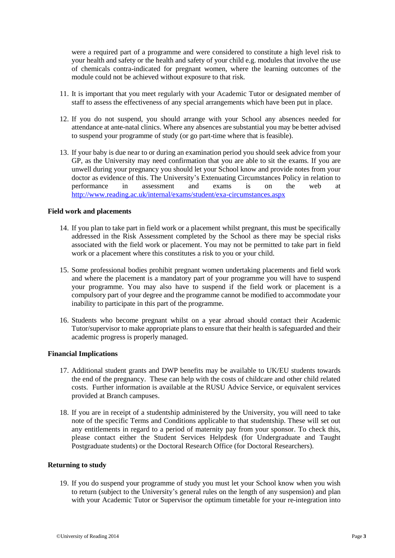were a required part of a programme and were considered to constitute a high level risk to your health and safety or the health and safety of your child e.g. modules that involve the use of chemicals contra-indicated for pregnant women, where the learning outcomes of the module could not be achieved without exposure to that risk.

- 11. It is important that you meet regularly with your Academic Tutor or designated member of staff to assess the effectiveness of any special arrangements which have been put in place.
- 12. If you do not suspend, you should arrange with your School any absences needed for attendance at ante-natal clinics. Where any absences are substantial you may be better advised to suspend your programme of study (or go part-time where that is feasible).
- 13. If your baby is due near to or during an examination period you should seek advice from your GP, as the University may need confirmation that you are able to sit the exams. If you are unwell during your pregnancy you should let your School know and provide notes from your doctor as evidence of this. The University's Extenuating Circumstances Policy in relation to performance in assessment and exams is on the web at <http://www.reading.ac.uk/internal/exams/student/exa-circumstances.aspx>

#### **Field work and placements**

- 14. If you plan to take part in field work or a placement whilst pregnant, this must be specifically addressed in the Risk Assessment completed by the School as there may be special risks associated with the field work or placement. You may not be permitted to take part in field work or a placement where this constitutes a risk to you or your child.
- 15. Some professional bodies prohibit pregnant women undertaking placements and field work and where the placement is a mandatory part of your programme you will have to suspend your programme. You may also have to suspend if the field work or placement is a compulsory part of your degree and the programme cannot be modified to accommodate your inability to participate in this part of the programme.
- 16. Students who become pregnant whilst on a year abroad should contact their Academic Tutor/supervisor to make appropriate plans to ensure that their health is safeguarded and their academic progress is properly managed.

#### **Financial Implications**

- 17. Additional student grants and DWP benefits may be available to UK/EU students towards the end of the pregnancy. These can help with the costs of childcare and other child related costs. Further information is available at the RUSU Advice Service, or equivalent services provided at Branch campuses.
- 18. If you are in receipt of a studentship administered by the University, you will need to take note of the specific Terms and Conditions applicable to that studentship. These will set out any entitlements in regard to a period of maternity pay from your sponsor. To check this, please contact either the Student Services Helpdesk (for Undergraduate and Taught Postgraduate students) or the Doctoral Research Office (for Doctoral Researchers).

#### **Returning to study**

19. If you do suspend your programme of study you must let your School know when you wish to return (subject to the University's general rules on the length of any suspension) and plan with your Academic Tutor or Supervisor the optimum timetable for your re-integration into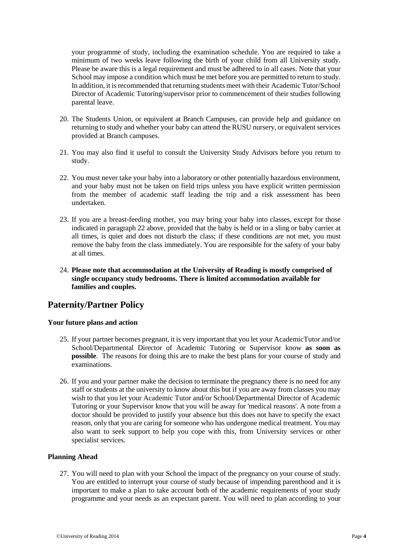your programme of study, including the examination schedule. You are required to take a minimum of two weeks leave following the birth of your child from all University study. Please be aware this is a legal requirement and must be adhered to in all cases. Note that your School may impose a condition which must be met before you are permitted to return to study. In addition, it is recommended that returning students meet with their Academic Tutor/School Director of Academic Tutoring/supervisor prior to commencement of their studies following parental leave.

- 20. The Students Union, or equivalent at Branch Campuses, can provide help and guidance on returning to study and whether your baby can attend the RUSU nursery, or equivalent services provided at Branch campuses.
- 21. You may also find it useful to consult the University Study Advisors before you return to study.
- 22. You must never take your baby into a laboratory or other potentially hazardous environment, and your baby must not be taken on field trips unless you have explicit written permission from the member of academic staff leading the trip and a risk assessment has been undertaken.
- 23. If you are a breast-feeding mother, you may bring your baby into classes, except for those indicated in paragraph 22 above, provided that the baby is held or in a sling or baby carrier at all times, is quiet and does not disturb the class; if these conditions are not met, you must remove the baby from the class immediately. You are responsible for the safety of your baby at all times.
- 24. **Please note that accommodation at the University of Reading is mostly comprised of single occupancy study bedrooms. There is limited accommodation available for families and couples.**

### **Paternity/Partner Policy**

#### **Your future plans and action**

- 25. If your partner becomes pregnant, it is very important that you let your AcademicTutor and/or School/Departmental Director of Academic Tutoring or Supervisor know **as soon as possible**. The reasons for doing this are to make the best plans for your course of study and examinations.
- 26. If you and your partner make the decision to terminate the pregnancy there is no need for any staff or students at the university to know about this but if you are away from classes you may wish to that you let your Academic Tutor and/or School/Departmental Director of Academic Tutoring or your Supervisor know that you will be away for 'medical reasons'. A note from a doctor should be provided to justify your absence but this does not have to specify the exact reason, only that you are caring for someone who has undergone medical treatment. You may also want to seek support to help you cope with this, from University services or other specialist services.

#### **Planning Ahead**

27. You will need to plan with your School the impact of the pregnancy on your course of study. You are entitled to interrupt your course of study because of impending parenthood and it is important to make a plan to take account both of the academic requirements of your study programme and your needs as an expectant parent. You will need to plan according to your